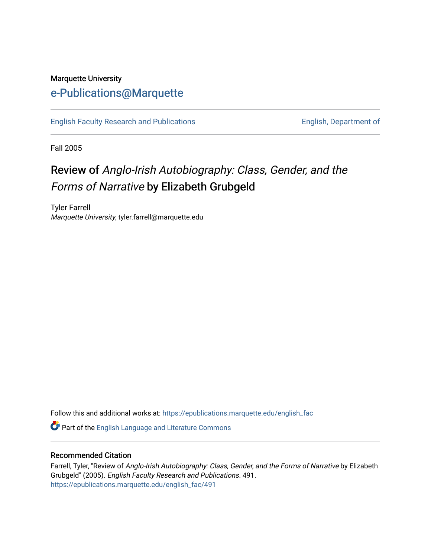### Marquette University [e-Publications@Marquette](https://epublications.marquette.edu/)

[English Faculty Research and Publications](https://epublications.marquette.edu/english_fac) **English, Department of** English, Department of

Fall 2005

# Review of Anglo-Irish Autobiography: Class, Gender, and the Forms of Narrative by Elizabeth Grubgeld

Tyler Farrell Marquette University, tyler.farrell@marquette.edu

Follow this and additional works at: [https://epublications.marquette.edu/english\\_fac](https://epublications.marquette.edu/english_fac?utm_source=epublications.marquette.edu%2Fenglish_fac%2F491&utm_medium=PDF&utm_campaign=PDFCoverPages)

Part of the [English Language and Literature Commons](http://network.bepress.com/hgg/discipline/455?utm_source=epublications.marquette.edu%2Fenglish_fac%2F491&utm_medium=PDF&utm_campaign=PDFCoverPages)

#### Recommended Citation

Farrell, Tyler, "Review of Anglo-Irish Autobiography: Class, Gender, and the Forms of Narrative by Elizabeth Grubgeld" (2005). English Faculty Research and Publications. 491. [https://epublications.marquette.edu/english\\_fac/491](https://epublications.marquette.edu/english_fac/491?utm_source=epublications.marquette.edu%2Fenglish_fac%2F491&utm_medium=PDF&utm_campaign=PDFCoverPages)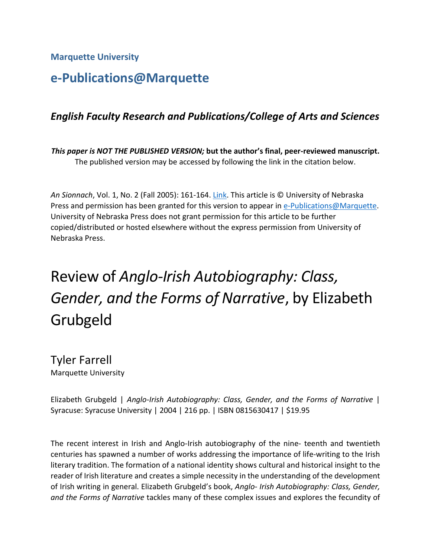**Marquette University**

## **e-Publications@Marquette**

#### *English Faculty Research and Publications/College of Arts and Sciences*

*This paper is NOT THE PUBLISHED VERSION;* **but the author's final, peer-reviewed manuscript.**  The published version may be accessed by following the link in the citation below.

*An Sionnach*, Vol. 1, No. 2 (Fall 2005): 161-164. [Link.](https://muse.jhu.edu/journal/435) This article is © University of Nebraska Press and permission has been granted for this version to appear in [e-Publications@Marquette.](http://epublications.marquette.edu/) University of Nebraska Press does not grant permission for this article to be further copied/distributed or hosted elsewhere without the express permission from University of Nebraska Press.

# Review of *Anglo-Irish Autobiography: Class, Gender, and the Forms of Narrative*, by Elizabeth Grubgeld

Tyler Farrell Marquette University

Elizabeth Grubgeld | *Anglo-Irish Autobiography: Class, Gender, and the Forms of Narrative* | Syracuse: Syracuse University | 2004 | 216 pp. | ISBN 0815630417 | \$19.95

The recent interest in Irish and Anglo-Irish autobiography of the nine- teenth and twentieth centuries has spawned a number of works addressing the importance of life-writing to the Irish literary tradition. The formation of a national identity shows cultural and historical insight to the reader of Irish literature and creates a simple necessity in the understanding of the development of Irish writing in general. Elizabeth Grubgeld's book, *Anglo- Irish Autobiography: Class, Gender, and the Forms of Narrative* tackles many of these complex issues and explores the fecundity of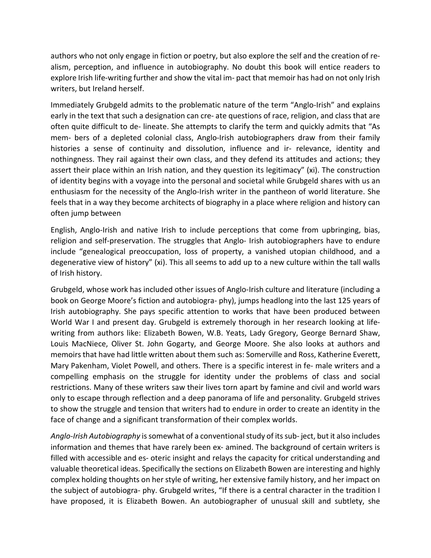authors who not only engage in fiction or poetry, but also explore the self and the creation of realism, perception, and influence in autobiography. No doubt this book will entice readers to explore Irish life-writing further and show the vital im- pact that memoir has had on not only Irish writers, but Ireland herself.

Immediately Grubgeld admits to the problematic nature of the term "Anglo-Irish" and explains early in the text that such a designation can cre- ate questions of race, religion, and class that are often quite difficult to de- lineate. She attempts to clarify the term and quickly admits that "As mem- bers of a depleted colonial class, Anglo-Irish autobiographers draw from their family histories a sense of continuity and dissolution, influence and ir- relevance, identity and nothingness. They rail against their own class, and they defend its attitudes and actions; they assert their place within an Irish nation, and they question its legitimacy" (xi). The construction of identity begins with a voyage into the personal and societal while Grubgeld shares with us an enthusiasm for the necessity of the Anglo-Irish writer in the pantheon of world literature. She feels that in a way they become architects of biography in a place where religion and history can often jump between

English, Anglo-Irish and native Irish to include perceptions that come from upbringing, bias, religion and self-preservation. The struggles that Anglo- Irish autobiographers have to endure include "genealogical preoccupation, loss of property, a vanished utopian childhood, and a degenerative view of history" (xi). This all seems to add up to a new culture within the tall walls of Irish history.

Grubgeld, whose work has included other issues of Anglo-Irish culture and literature (including a book on George Moore's fiction and autobiogra- phy), jumps headlong into the last 125 years of Irish autobiography. She pays specific attention to works that have been produced between World War I and present day. Grubgeld is extremely thorough in her research looking at lifewriting from authors like: Elizabeth Bowen, W.B. Yeats, Lady Gregory, George Bernard Shaw, Louis MacNiece, Oliver St. John Gogarty, and George Moore. She also looks at authors and memoirs that have had little written about them such as: Somerville and Ross, Katherine Everett, Mary Pakenham, Violet Powell, and others. There is a specific interest in fe- male writers and a compelling emphasis on the struggle for identity under the problems of class and social restrictions. Many of these writers saw their lives torn apart by famine and civil and world wars only to escape through reflection and a deep panorama of life and personality. Grubgeld strives to show the struggle and tension that writers had to endure in order to create an identity in the face of change and a significant transformation of their complex worlds.

*Anglo-Irish Autobiography* is somewhat of a conventional study of its sub- ject, but it also includes information and themes that have rarely been ex- amined. The background of certain writers is filled with accessible and es- oteric insight and relays the capacity for critical understanding and valuable theoretical ideas. Specifically the sections on Elizabeth Bowen are interesting and highly complex holding thoughts on her style of writing, her extensive family history, and her impact on the subject of autobiogra- phy. Grubgeld writes, "If there is a central character in the tradition I have proposed, it is Elizabeth Bowen. An autobiographer of unusual skill and subtlety, she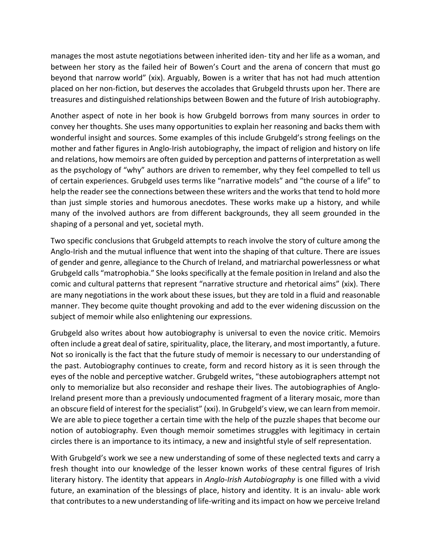manages the most astute negotiations between inherited iden- tity and her life as a woman, and between her story as the failed heir of Bowen's Court and the arena of concern that must go beyond that narrow world" (xix). Arguably, Bowen is a writer that has not had much attention placed on her non-fiction, but deserves the accolades that Grubgeld thrusts upon her. There are treasures and distinguished relationships between Bowen and the future of Irish autobiography.

Another aspect of note in her book is how Grubgeld borrows from many sources in order to convey her thoughts. She uses many opportunities to explain her reasoning and backs them with wonderful insight and sources. Some examples of this include Grubgeld's strong feelings on the mother and father figures in Anglo-Irish autobiography, the impact of religion and history on life and relations, how memoirs are often guided by perception and patterns of interpretation as well as the psychology of "why" authors are driven to remember, why they feel compelled to tell us of certain experiences. Grubgeld uses terms like "narrative models" and "the course of a life" to help the reader see the connections between these writers and the works that tend to hold more than just simple stories and humorous anecdotes. These works make up a history, and while many of the involved authors are from different backgrounds, they all seem grounded in the shaping of a personal and yet, societal myth.

Two specific conclusions that Grubgeld attempts to reach involve the story of culture among the Anglo-Irish and the mutual influence that went into the shaping of that culture. There are issues of gender and genre, allegiance to the Church of Ireland, and matriarchal powerlessness or what Grubgeld calls "matrophobia." She looks specifically at the female position in Ireland and also the comic and cultural patterns that represent "narrative structure and rhetorical aims" (xix). There are many negotiations in the work about these issues, but they are told in a fluid and reasonable manner. They become quite thought provoking and add to the ever widening discussion on the subject of memoir while also enlightening our expressions.

Grubgeld also writes about how autobiography is universal to even the novice critic. Memoirs often include a great deal of satire, spirituality, place, the literary, and most importantly, a future. Not so ironically is the fact that the future study of memoir is necessary to our understanding of the past. Autobiography continues to create, form and record history as it is seen through the eyes of the noble and perceptive watcher. Grubgeld writes, "these autobiographers attempt not only to memorialize but also reconsider and reshape their lives. The autobiographies of Anglo-Ireland present more than a previously undocumented fragment of a literary mosaic, more than an obscure field of interest for the specialist" (xxi). In Grubgeld's view, we can learn from memoir. We are able to piece together a certain time with the help of the puzzle shapes that become our notion of autobiography. Even though memoir sometimes struggles with legitimacy in certain circles there is an importance to its intimacy, a new and insightful style of self representation.

With Grubgeld's work we see a new understanding of some of these neglected texts and carry a fresh thought into our knowledge of the lesser known works of these central figures of Irish literary history. The identity that appears in *Anglo-Irish Autobiography* is one filled with a vivid future, an examination of the blessings of place, history and identity. It is an invalu- able work that contributes to a new understanding of life-writing and its impact on how we perceive Ireland